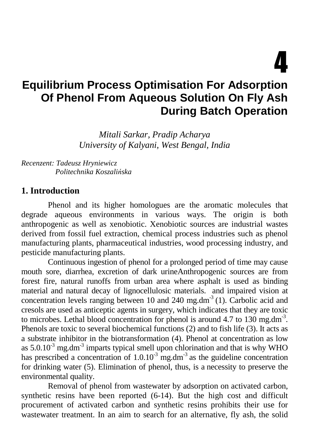4

# **Equilibrium Process Optimisation For Adsorption Of Phenol From Aqueous Solution On Fly Ash During Batch Operation**

*Mitali Sarkar, Pradip Acharya University of Kalyani, West Bengal, India* 

*Recenzent: Tadeusz Hryniewicz Politechnika Koszali*ń*ska* 

#### **1. Introduction**

Phenol and its higher homologues are the aromatic molecules that degrade aqueous environments in various ways. The origin is both anthropogenic as well as xenobiotic. Xenobiotic sources are industrial wastes derived from fossil fuel extraction, chemical process industries such as phenol manufacturing plants, pharmaceutical industries, wood processing industry, and pesticide manufacturing plants.

Continuous ingestion of phenol for a prolonged period of time may cause mouth sore, diarrhea, excretion of dark urineAnthropogenic sources are from forest fire, natural runoffs from urban area where asphalt is used as binding material and natural decay of lignocellulosic materials. and impaired vision at concentration levels ranging between 10 and 240 mg.dm<sup>-3</sup> (1). Carbolic acid and cresols are used as anticeptic agents in surgery, which indicates that they are toxic to microbes. Lethal blood concentration for phenol is around  $4.7$  to  $130$  mg.dm<sup>-3</sup>. Phenols are toxic to several biochemical functions (2) and to fish life (3). It acts as a substrate inhibitor in the biotransformation (4). Phenol at concentration as low as  $5.0.10<sup>3</sup>$  mg.dm<sup>-3</sup> imparts typical smell upon chlorination and that is why WHO has prescribed a concentration of  $1.0.10<sup>3</sup>$  mg.dm<sup>-3</sup> as the guideline concentration for drinking water (5). Elimination of phenol, thus, is a necessity to preserve the environmental quality.

Removal of phenol from wastewater by adsorption on activated carbon, synthetic resins have been reported (6-14). But the high cost and difficult procurement of activated carbon and synthetic resins prohibits their use for wastewater treatment. In an aim to search for an alternative, fly ash, the solid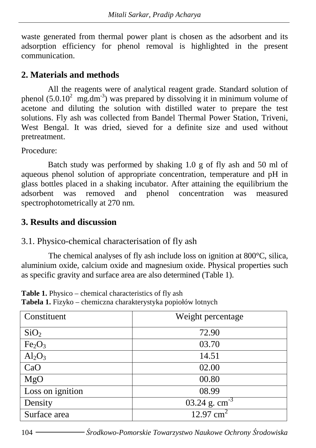waste generated from thermal power plant is chosen as the adsorbent and its adsorption efficiency for phenol removal is highlighted in the present communication.

## **2. Materials and methods**

All the reagents were of analytical reagent grade. Standard solution of phenol (5.0.10<sup>2</sup> mg.dm<sup>-3</sup>) was prepared by dissolving it in minimum volume of acetone and diluting the solution with distilled water to prepare the test solutions. Fly ash was collected from Bandel Thermal Power Station, Triveni, West Bengal. It was dried, sieved for a definite size and used without pretreatment.

Procedure:

Batch study was performed by shaking 1.0 g of fly ash and 50 ml of aqueous phenol solution of appropriate concentration, temperature and pH in glass bottles placed in a shaking incubator. After attaining the equilibrium the adsorbent was removed and phenol concentration was measured spectrophotometrically at 270 nm.

### **3. Results and discussion**

#### 3.1. Physico-chemical characterisation of fly ash

The chemical analyses of fly ash include loss on ignition at 800°C, silica, aluminium oxide, calcium oxide and magnesium oxide. Physical properties such as specific gravity and surface area are also determined (Table 1).

**Table 1.** Physico – chemical characteristics of fly ash **Tabela 1.** Fizyko – chemiczna charakterystyka popiołów lotnych

| Constituent                    | Weight percentage    |
|--------------------------------|----------------------|
| SiO <sub>2</sub>               | 72.90                |
| Fe <sub>2</sub> O <sub>3</sub> | 03.70                |
| $Al_2O_3$                      | 14.51                |
| CaO                            | 02.00                |
| MgO                            | 00.80                |
| Loss on ignition               | 08.99                |
| Density                        | 03.24 g. $cm^{-3}$   |
| Surface area                   | $12.97 \text{ cm}^2$ |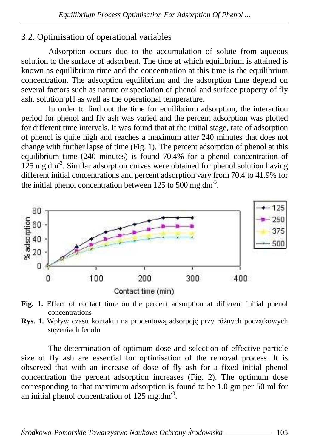# 3.2. Optimisation of operational variables

Adsorption occurs due to the accumulation of solute from aqueous solution to the surface of adsorbent. The time at which equilibrium is attained is known as equilibrium time and the concentration at this time is the equilibrium concentration. The adsorption equilibrium and the adsorption time depend on several factors such as nature or speciation of phenol and surface property of fly ash, solution pH as well as the operational temperature.

 In order to find out the time for equilibrium adsorption, the interaction period for phenol and fly ash was varied and the percent adsorption was plotted for different time intervals. It was found that at the initial stage, rate of adsorption of phenol is quite high and reaches a maximum after 240 minutes that does not change with further lapse of time (Fig. 1). The percent adsorption of phenol at this equilibrium time (240 minutes) is found 70.4% for a phenol concentration of  $125$  mg.dm<sup>-3</sup>. Similar adsorption curves were obtained for phenol solution having different initial concentrations and percent adsorption vary from 70.4 to 41.9% for the initial phenol concentration between 125 to 500 mg.dm<sup>-3</sup>.



**Fig. 1.** Effect of contact time on the percent adsorption at different initial phenol concentrations

**Rys. 1.** Wpływ czasu kontaktu na procentową adsorpcję przy różnych początkowych stężeniach fenolu

 The determination of optimum dose and selection of effective particle size of fly ash are essential for optimisation of the removal process. It is observed that with an increase of dose of fly ash for a fixed initial phenol concentration the percent adsorption increases (Fig. 2). The optimum dose corresponding to that maximum adsorption is found to be 1.0 gm per 50 ml for an initial phenol concentration of  $125 \text{ mg.dim}^3$ .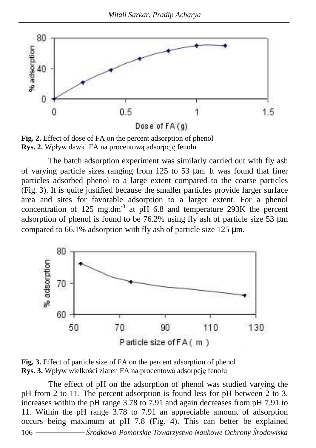

**Fig. 2.** Effect of dose of FA on the percent adsorption of phenol **Rys. 2.** Wpływ dawki FA na procentową adsorpcję fenolu

 The batch adsorption experiment was similarly carried out with fly ash of varying particle sizes ranging from  $125$  to  $53 \mu m$ . It was found that finer particles adsorbed phenol to a large extent compared to the coarse particles (Fig. 3). It is quite justified because the smaller particles provide larger surface area and sites for favorable adsorption to a larger extent. For a phenol concentration of 125 mg.dm<sup>-3</sup> at p $\hat{H}$  6.8 and temperature 293K the percent adsorption of phenol is found to be 76.2% using fly ash of particle size 53 µm compared to 66.1% adsorption with fly ash of particle size 125 µm.



**Fig. 3.** Effect of particle size of FA on the percent adsorption of phenol **Rys. 3.** Wpływ wielkości ziaren FA na procentową adsorpcję fenolu

106 Ś*rodkowo-Pomorskie Towarzystwo Naukowe Ochrony* Ś*rodowiska*  The effect of pH on the adsorption of phenol was studied varying the pH from 2 to 11. The percent adsorption is found less for pH between 2 to 3, increases within the pH range 3.78 to 7.91 and again decreases from pH 7.91 to 11. Within the pH range 3.78 to 7.91 an appreciable amount of adsorption occurs being maximum at pH 7.8 (Fig. 4). This can better be explained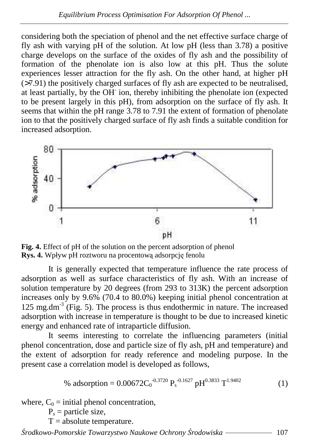considering both the speciation of phenol and the net effective surface charge of fly ash with varying pH of the solution. At low pH (less than 3.78) a positive charge develops on the surface of the oxides of fly ash and the possibility of formation of the phenolate ion is also low at this pH. Thus the solute experiences lesser attraction for the fly ash. On the other hand, at higher pH (>7.91) the positively charged surfaces of fly ash are expected to be neutralised, at least partially, by the OH- ion, thereby inhibiting the phenolate ion (expected to be present largely in this pH), from adsorption on the surface of fly ash. It seems that within the pH range 3.78 to 7.91 the extent of formation of phenolate ion to that the positively charged surface of fly ash finds a suitable condition for increased adsorption.



**Fig. 4.** Effect of pH of the solution on the percent adsorption of phenol **Rys. 4.** Wpływ pH roztworu na procentową adsorpcję fenolu

 It is generally expected that temperature influence the rate process of adsorption as well as surface characteristics of fly ash. With an increase of solution temperature by 20 degrees (from 293 to 313K) the percent adsorption increases only by 9.6% (70.4 to 80.0%) keeping initial phenol concentration at  $125 \text{ mg.dim}^3$  (Fig. 5). The process is thus endothermic in nature. The increased adsorption with increase in temperature is thought to be due to increased kinetic energy and enhanced rate of intraparticle diffusion.

 It seems interesting to correlate the influencing parameters (initial phenol concentration, dose and particle size of fly ash, pH and temperature) and the extent of adsorption for ready reference and modeling purpose. In the present case a correlation model is developed as follows,

% adsorption = 
$$
0.00672C_0^{-0.3720} P_s^{-0.1627} pH^{0.3833} T^{1.9402}
$$
 (1)

where,  $C_0$  = initial phenol concentration,

 $P_s$  = particle size,

 $T = absolute temperature$ .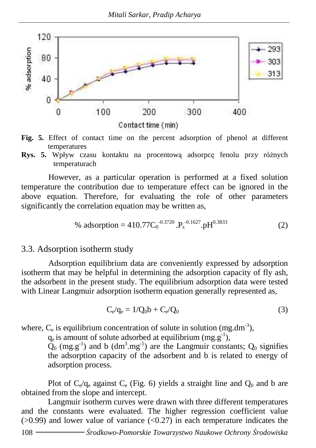

- **Fig. 5.** Effect of contact time on the percent adsorption of phenol at different temperatures
- **Rys. 5.** Wpływ czasu kontaktu na procentową adsorpce fenolu przy różnych temperaturach

However, as a particular operation is performed at a fixed solution temperature the contribution due to temperature effect can be ignored in the above equation. Therefore, for evaluating the role of other parameters significantly the correlation equation may be written as,

% adsorption = 
$$
410.77C_0^{-0.3720} \cdot P_s^{-0.1627} \cdot pH^{0.3833}
$$
 (2)

#### 3.3. Adsorption isotherm study

Adsorption equilibrium data are conveniently expressed by adsorption isotherm that may be helpful in determining the adsorption capacity of fly ash, the adsorbent in the present study. The equilibrium adsorption data were tested with Linear Langmuir adsorption isotherm equation generally represented as,

$$
C_e/q_e = 1/Q_0 b + C_e/Q_0
$$
 (3)

where,  $C_e$  is equilibrium concentration of solute in solution (mg.dm<sup>-3</sup>),

 $q_e$  is amount of solute adsorbed at equilibrium (mg.g<sup>-1</sup>),

 $\tilde{Q}_0$  (mg.g<sup>-1</sup>) and b (dm<sup>3</sup>.mg<sup>-1</sup>) are the Langmuir constants;  $Q_0$  signifies the adsorption capacity of the adsorbent and b is related to energy of adsorption process.

Plot of  $C_e/q_e$  against  $C_e$  (Fig. 6) yields a straight line and  $Q_0$  and b are obtained from the slope and intercept.

Langmuir isotherm curves were drawn with three different temperatures and the constants were evaluated. The higher regression coefficient value  $(0.99)$  and lower value of variance  $(0.27)$  in each temperature indicates the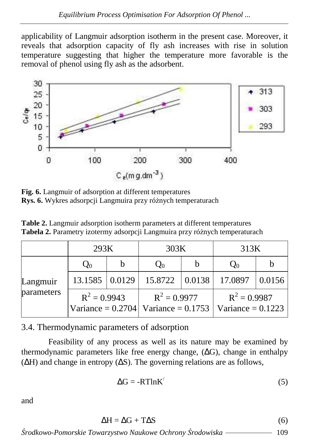applicability of Langmuir adsorption isotherm in the present case. Moreover, it reveals that adsorption capacity of fly ash increases with rise in solution temperature suggesting that higher the temperature more favorable is the removal of phenol using fly ash as the adsorbent.



**Fig. 6.** Langmuir of adsorption at different temperatures **Rys. 6.** Wykres adsorpcji Langmuira przy różnych temperaturach

**Table 2.** Langmuir adsorption isotherm parameters at different temperatures Tabela 2. Parametry izotermy adsorpcji Langmuira przy różnych temperaturach

|                        | 293K           |   | 303K                                                                              |   | 313K           |        |
|------------------------|----------------|---|-----------------------------------------------------------------------------------|---|----------------|--------|
| Langmuir<br>parameters | $Q_0$          | b | $Q_0$                                                                             | b | $Q_0$          |        |
|                        | 13.1585 0.0129 |   | 15.8722   0.0138                                                                  |   | 17.0897        | 0.0156 |
|                        | $R^2 = 0.9943$ |   | $R^2 = 0.9977$<br>Variance = $0.2704$   Variance = $0.1753$   Variance = $0.1223$ |   | $R^2 = 0.9987$ |        |

3.4. Thermodynamic parameters of adsorption

Feasibility of any process as well as its nature may be examined by thermodynamic parameters like free energy change,  $(\Delta G)$ , change in enthalpy (∆H) and change in entropy (∆S). The governing relations are as follows,

$$
\Delta G = -RTlnK'
$$
 (5)

and

$$
\Delta H = \Delta G + T\Delta S \tag{6}
$$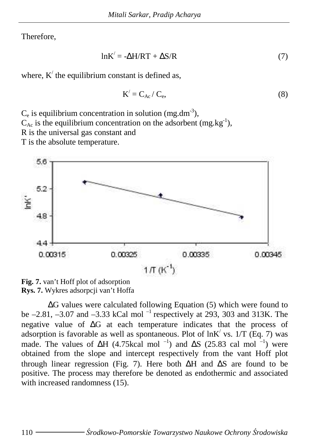Therefore,

$$
lnK' = -\Delta H/RT + \Delta S/R
$$
 (7)

where,  $K'$  the equilibrium constant is defined as,

$$
K' = C_{Ac} / C_e, \qquad (8)
$$

 $C_e$  is equilibrium concentration in solution (mg.dm<sup>-3</sup>),

 $C_{\text{Ac}}$  is the equilibrium concentration on the adsorbent (mg.kg<sup>-1</sup>),

R is the universal gas constant and

T is the absolute temperature.



**Fig. 7.** van't Hoff plot of adsorption **Rys. 7.** Wykres adsorpcji van't Hoffa

∆G values were calculated following Equation (5) which were found to be  $-2.81$ ,  $-3.07$  and  $-3.33$  kCal mol<sup>-1</sup> respectively at 293, 303 and 313K. The negative value of ∆G at each temperature indicates that the process of adsorption is favorable as well as spontaneous. Plot of  $ln K'$  vs. 1/T (Eq. 7) was made. The values of  $\Delta H$  (4.75kcal mol<sup>-1</sup>) and  $\Delta S$  (25.83 cal mol<sup>-1</sup>) were obtained from the slope and intercept respectively from the vant Hoff plot through linear regression (Fig. 7). Here both ∆H and ∆S are found to be positive. The process may therefore be denoted as endothermic and associated with increased randomness (15).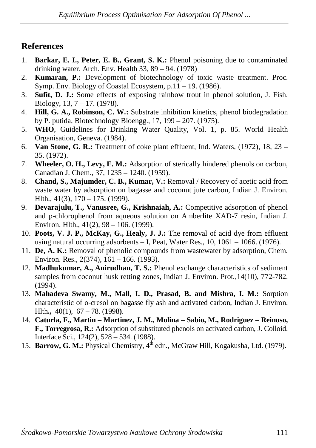# **References**

- 1. **Barkar, E. I., Peter, E. B., Grant, S. K.:** Phenol poisoning due to contaminated drinking water. Arch. Env. Health 33, 89 – 94. (1978)
- 2. **Kumaran, P.:** Development of biotechnology of toxic waste treatment. Proc. Symp. Env. Biology of Coastal Ecosystem, p.11 – 19. (1986).
- 3. **Sufit, D. J.:** Some effects of exposing rainbow trout in phenol solution, J. Fish. Biology, 13, 7 – 17. (1978).
- 4. **Hill, G. A., Robinson, C. W.:** Substrate inhibition kinetics, phenol biodegradation by P. putida, Biotechnology Bioengg., 17, 199 – 207. (1975).
- 5. **WHO**, Guidelines for Drinking Water Quality, Vol. 1, p. 85. World Health Organisation, Geneva. (1984).
- 6. **Van Stone, G. R.:** Treatment of coke plant effluent, Ind. Waters, (1972), 18, 23 35. (1972).
- 7. **Wheeler, O. H., Levy, E. M.:** Adsorption of sterically hindered phenols on carbon, Canadian J. Chem., 37, 1235 – 1240. (1959).
- 8. **Chand, S., Majumder, C. B., Kumar, V.:** Removal / Recovery of acetic acid from waste water by adsorption on bagasse and coconut jute carbon, Indian J. Environ. Hlth., 41(3), 170 – 175. (1999).
- 9. **Devarajulu, T., Vanusree, G., Krishnaiah, A.:** Competitive adsorption of phenol and p-chlorophenol from aqueous solution on Amberlite XAD-7 resin, Indian J. Environ. Hlth., 41(2), 98 – 106. (1999).
- 10. **Poots, V. J. P., McKay, G., Healy, J. J.:** The removal of acid dye from effluent using natural occurring adsorbents  $-$  I, Peat, Water Res., 10, 1061  $-$  1066. (1976).
- 11. **De, A. K.:** Removal of phenolic compounds from wastewater by adsorption, Chem. Environ. Res., 2(374), 161 – 166. (1993).
- 12. **Madhukumar, A., Anirudhan, T. S.:** Phenol exchange characteristics of sediment samples from coconut husk retting zones*,* Indian J. Environ. Prot*.,*14(10), 772-782. (1994).
- 13. **Mahadeva Swamy, M., Mall, I. D., Prasad, B. and Mishra, I. M.:** Sorption characteristic of o-cresol on bagasse fly ash and activated carbon*,* Indian J. Environ. Hlth**.,** 40(1), 67 – 78. (1998**)**.
- 14. **Caturla, F., Martin Martinez, J. M., Molina Sabio, M., Rodriguez Reinoso, F., Torregrosa, R.:** Adsorption of substituted phenols on activated carbon, J. Colloid. Interface Sci., 124(2), 528 – 534. (1988).
- 15. **Barrow, G. M.:** Physical Chemistry, 4<sup>th</sup> edn., McGraw Hill, Kogakusha, Ltd. (1979).